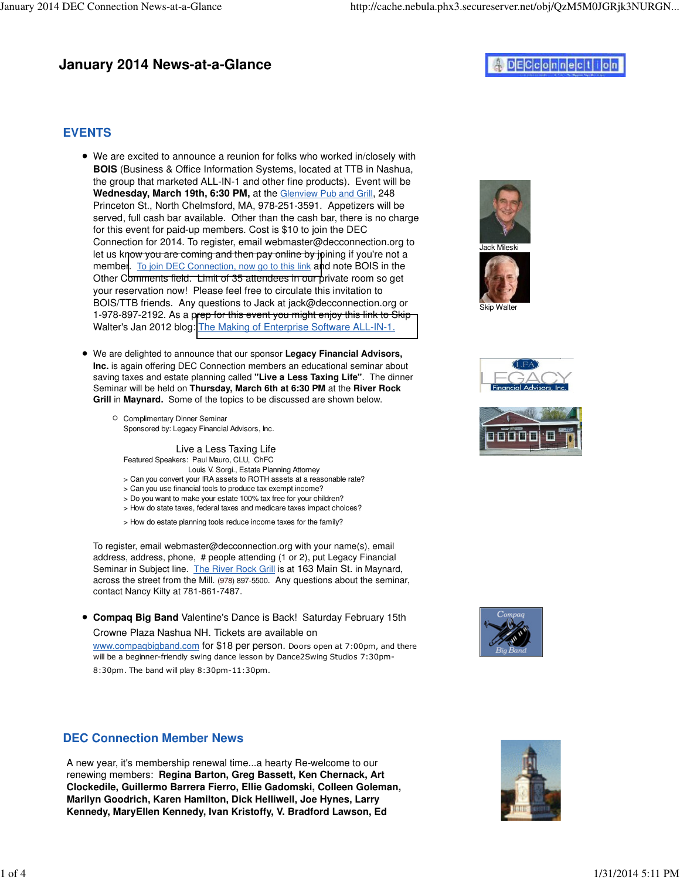# **January 2014 News-at-a-Glance**

# DECconnection

### **EVENTS**

- We are excited to announce a reunion for folks who worked in/closely with **BOIS** (Business & Office Information Systems, located at TTB in Nashua, the group that marketed ALL-IN-1 and other fine products). Event will be Wednesday, March 19th, 6:30 PM, at the Glenview Pub and Grill, 248 Princeton St., North Chelmsford, MA, 978-251-3591. Appetizers will be served, full cash bar available. Other than the cash bar, there is no charge for this event for paid-up members. Cost is \$10 to join the DEC Connection for 2014. To register, email webmaster@decconnection.org to let us know you are coming and then pay online by joining if you're not a member. [To join DEC Connection, now go to this link](http://www.decconnection.org/join-online.htm) and note BOIS in the Other Comments field. Limit of 35 attendees in our private room so get your reservation now! Please feel free to circulate this invitation to BOIS/TTB friends. Any questions to Jack at jack@decconnection.org or 1-978-897-2192. As a prep for this event you might enjoy this link to Skip Walter's Jan 2012 blog: [The Making of Enterprise Software ALL-IN-1.](http://skipwalter.net/2012/01/13/the-making-of-enterprise-software-all-in-1/)
- We are delighted to announce that our sponsor **Legacy Financial Advisors, Inc.** is again offering DEC Connection members an educational seminar about saving taxes and estate planning called **"Live a Less Taxing Life"**. The dinner Seminar will be held on **Thursday, March 6th at 6:30 PM** at the **River Rock Grill** in **Maynard.** Some of the topics to be discussed are shown below.
	- Complimentary Dinner Seminar Sponsored by: Legacy Financial Advisors, Inc.

 Live a Less Taxing Life Featured Speakers: Paul Mauro, CLU, ChFC Louis V. Sorgi., Estate Planning Attorney

- > Can you convert your IRA assets to ROTH assets at a reasonable rate?
- > Can you use financial tools to produce tax exempt income?
- > Do you want to make your estate 100% tax free for your children?
- > How do state taxes, federal taxes and medicare taxes impact choices?
- > How do estate planning tools reduce income taxes for the family?

To register, email webmaster@decconnection.org with your name(s), email address, address, phone, # people attending (1 or 2), put Legacy Financial Seminar in Subject line. The River Rock Grill is at 163 Main St. in Maynard, across the street from the Mill. (978) 897-5500. Any questions about the seminar, contact Nancy Kilty at 781-861-7487.

**Compaq Big Band** Valentine's Dance is Back! Saturday February 15th Crowne Plaza Nashua NH. Tickets are available on www.compaqbigband.com for \$18 per person. Doors open at 7:00pm, and there

will be a beginner-friendly swing dance lesson by Dance2Swing Studios 7:30pm-8:30pm. The band will play 8:30pm-11:30pm.

# **DEC Connection Member News**

A new year, it's membership renewal time...a hearty Re-welcome to our renewing members: **Regina Barton, Greg Bassett, Ken Chernack, Art Clockedile, Guillermo Barrera Fierro, Ellie Gadomski, Colleen Goleman, Marilyn Goodrich, Karen Hamilton, Dick Helliwell, Joe Hynes, Larry Kennedy, MaryEllen Kennedy, Ivan Kristoffy, V. Bradford Lawson, Ed**









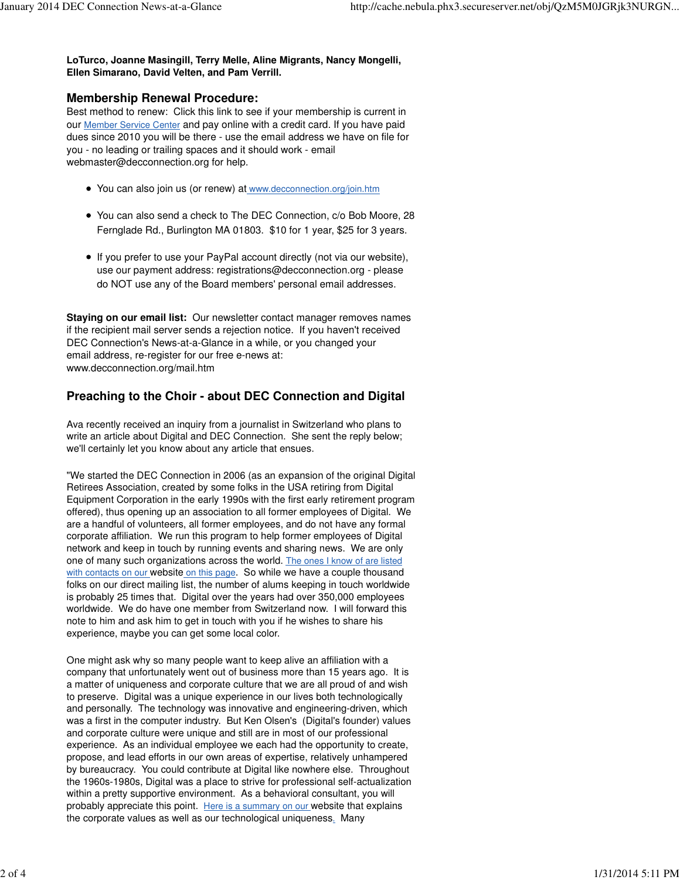**LoTurco, Joanne Masingill, Terry Melle, Aline Migrants, Nancy Mongelli, Ellen Simarano, David Velten, and Pam Verrill.**

#### **Membership Renewal Procedure:**

Best method to renew: Click this link to see if your membership is current in our Member Service Center and pay online with a credit card. If you have paid dues since 2010 you will be there - use the email address we have on file for you - no leading or trailing spaces and it should work - email webmaster@decconnection.org for help.

- You can also join us (or renew) at www.decconnection.org/join.htm
- You can also send a check to The DEC Connection, c/o Bob Moore, 28 Fernglade Rd., Burlington MA 01803. \$10 for 1 year, \$25 for 3 years.
- If you prefer to use your PayPal account directly (not via our website), use our payment address: registrations@decconnection.org - please do NOT use any of the Board members' personal email addresses.

**Staying on our email list:** Our newsletter contact manager removes names if the recipient mail server sends a rejection notice. If you haven't received DEC Connection's News-at-a-Glance in a while, or you changed your email address, re-register for our free e-news at: www.decconnection.org/mail.htm

### **Preaching to the Choir - about DEC Connection and Digital**

Ava recently received an inquiry from a journalist in Switzerland who plans to write an article about Digital and DEC Connection. She sent the reply below; we'll certainly let you know about any article that ensues.

"We started the DEC Connection in 2006 (as an expansion of the original Digital Retirees Association, created by some folks in the USA retiring from Digital Equipment Corporation in the early 1990s with the first early retirement program offered), thus opening up an association to all former employees of Digital. We are a handful of volunteers, all former employees, and do not have any formal corporate affiliation. We run this program to help former employees of Digital network and keep in touch by running events and sharing news. We are only one of many such organizations across the world. The ones I know of are listed with contacts on our website on this page. So while we have a couple thousand folks on our direct mailing list, the number of alums keeping in touch worldwide is probably 25 times that. Digital over the years had over 350,000 employees worldwide. We do have one member from Switzerland now. I will forward this note to him and ask him to get in touch with you if he wishes to share his experience, maybe you can get some local color.

One might ask why so many people want to keep alive an affiliation with a company that unfortunately went out of business more than 15 years ago. It is a matter of uniqueness and corporate culture that we are all proud of and wish to preserve. Digital was a unique experience in our lives both technologically and personally. The technology was innovative and engineering-driven, which was a first in the computer industry. But Ken Olsen's (Digital's founder) values and corporate culture were unique and still are in most of our professional experience. As an individual employee we each had the opportunity to create, propose, and lead efforts in our own areas of expertise, relatively unhampered by bureaucracy. You could contribute at Digital like nowhere else. Throughout the 1960s-1980s, Digital was a place to strive for professional self-actualization within a pretty supportive environment. As a behavioral consultant, you will probably appreciate this point. Here is a summary on our website that explains the corporate values as well as our technological uniqueness. Many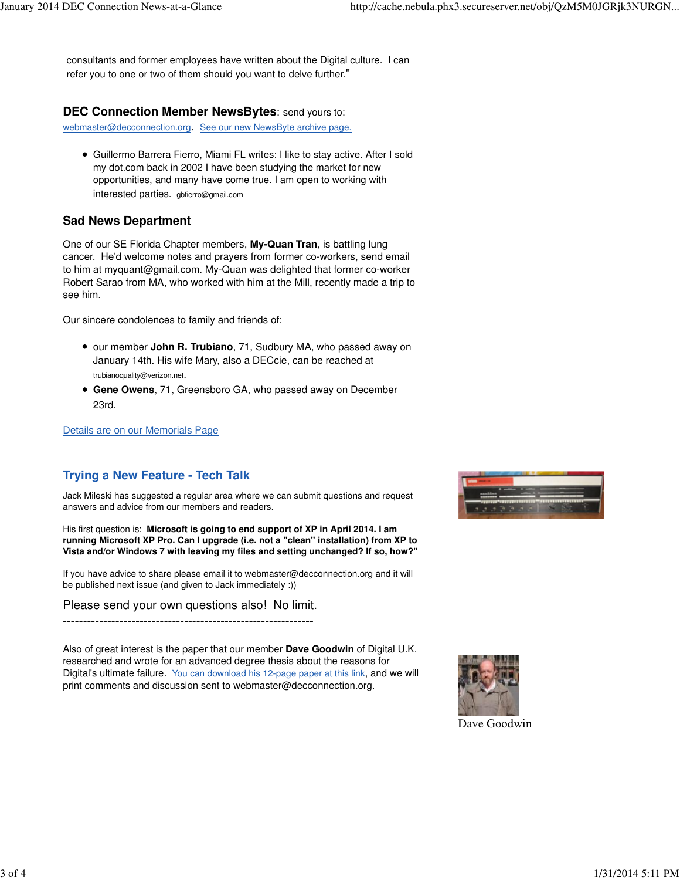consultants and former employees have written about the Digital culture. I can refer you to one or two of them should you want to delve further."

#### **DEC Connection Member NewsBytes**: send yours to:

webmaster@decconnection.org. See our new NewsByte archive page.

Guillermo Barrera Fierro, Miami FL writes: I like to stay active. After I sold my dot.com back in 2002 I have been studying the market for new opportunities, and many have come true. I am open to working with interested parties. gbfierro@gmail.com

### **Sad News Department**

One of our SE Florida Chapter members, **My-Quan Tran**, is battling lung cancer. He'd welcome notes and prayers from former co-workers, send email to him at myquant@gmail.com. My-Quan was delighted that former co-worker Robert Sarao from MA, who worked with him at the Mill, recently made a trip to see him.

Our sincere condolences to family and friends of:

our member **John R. Trubiano**, 71, Sudbury MA, who passed away on January 14th. His wife Mary, also a DECcie, can be reached at

trubianoquality@verizon.net.

**Gene Owens**, 71, Greensboro GA, who passed away on December 23rd.

Details are on our Memorials Page

# **Trying a New Feature - Tech Talk**

Jack Mileski has suggested a regular area where we can submit questions and request answers and advice from our members and readers.

His first question is: **Microsoft is going to end support of XP in April 2014. I am running Microsoft XP Pro. Can I upgrade (i.e. not a "clean" installation) from XP to Vista and/or Windows 7 with leaving my files and setting unchanged? If so, how?"**

If you have advice to share please email it to webmaster@decconnection.org and it will be published next issue (and given to Jack immediately :))

Please send your own questions also! No limit.

--------------------------------------------------------------

Also of great interest is the paper that our member **Dave Goodwin** of Digital U.K. researched and wrote for an advanced degree thesis about the reasons for Digital's ultimate failure. You can download his 12-page paper at this link, and we will print comments and discussion sent to webmaster@decconnection.org.